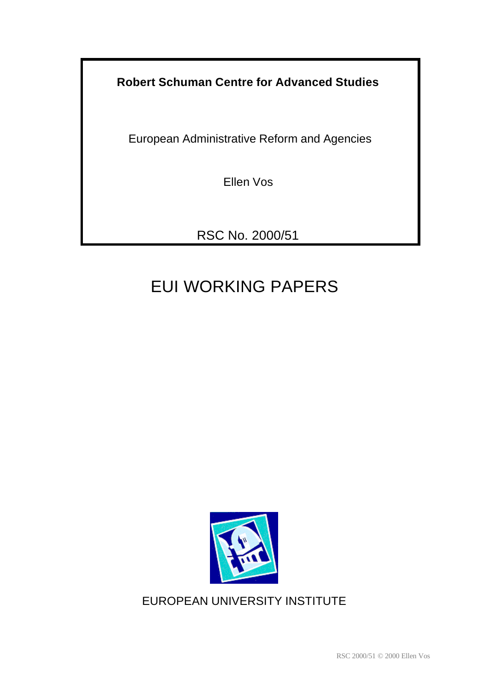**Robert Schuman Centre for Advanced Studies**

European Administrative Reform and Agencies

Ellen Vos

RSC No. 2000/51

# EUI WORKING PAPERS



## EUROPEAN UNIVERSITY INSTITUTE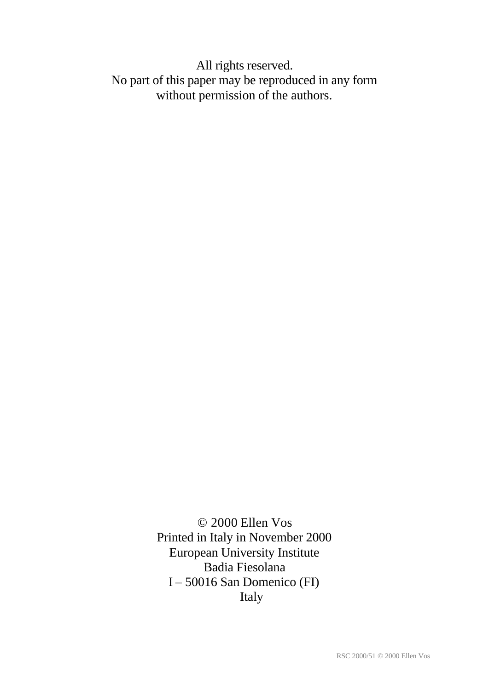All rights reserved. No part of this paper may be reproduced in any form without permission of the authors.

> © 2000 Ellen Vos Printed in Italy in November 2000 European University Institute Badia Fiesolana I – 50016 San Domenico (FI) Italy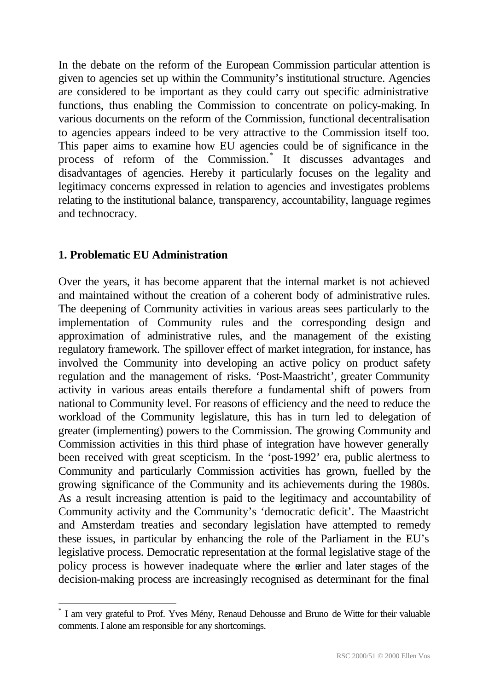In the debate on the reform of the European Commission particular attention is given to agencies set up within the Community's institutional structure. Agencies are considered to be important as they could carry out specific administrative functions, thus enabling the Commission to concentrate on policy-making. In various documents on the reform of the Commission, functional decentralisation to agencies appears indeed to be very attractive to the Commission itself too. This paper aims to examine how EU agencies could be of significance in the process of reform of the Commission.\* It discusses advantages and disadvantages of agencies. Hereby it particularly focuses on the legality and legitimacy concerns expressed in relation to agencies and investigates problems relating to the institutional balance, transparency, accountability, language regimes and technocracy.

## **1. Problematic EU Administration**

l

Over the years, it has become apparent that the internal market is not achieved and maintained without the creation of a coherent body of administrative rules. The deepening of Community activities in various areas sees particularly to the implementation of Community rules and the corresponding design and approximation of administrative rules, and the management of the existing regulatory framework. The spillover effect of market integration, for instance, has involved the Community into developing an active policy on product safety regulation and the management of risks. 'Post-Maastricht', greater Community activity in various areas entails therefore a fundamental shift of powers from national to Community level. For reasons of efficiency and the need to reduce the workload of the Community legislature, this has in turn led to delegation of greater (implementing) powers to the Commission. The growing Community and Commission activities in this third phase of integration have however generally been received with great scepticism. In the 'post-1992' era, public alertness to Community and particularly Commission activities has grown, fuelled by the growing significance of the Community and its achievements during the 1980s. As a result increasing attention is paid to the legitimacy and accountability of Community activity and the Community's 'democratic deficit'. The Maastricht and Amsterdam treaties and secondary legislation have attempted to remedy these issues, in particular by enhancing the role of the Parliament in the EU's legislative process. Democratic representation at the formal legislative stage of the policy process is however inadequate where the earlier and later stages of the decision-making process are increasingly recognised as determinant for the final

<sup>\*</sup> I am very grateful to Prof. Yves Mény, Renaud Dehousse and Bruno de Witte for their valuable comments. I alone am responsible for any shortcomings.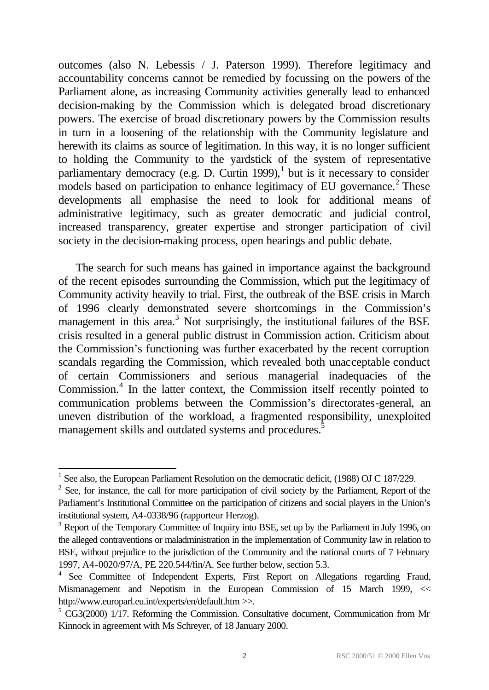outcomes (also N. Lebessis / J. Paterson 1999). Therefore legitimacy and accountability concerns cannot be remedied by focussing on the powers of the Parliament alone, as increasing Community activities generally lead to enhanced decision-making by the Commission which is delegated broad discretionary powers. The exercise of broad discretionary powers by the Commission results in turn in a loosening of the relationship with the Community legislature and herewith its claims as source of legitimation. In this way, it is no longer sufficient to holding the Community to the yardstick of the system of representative parliamentary democracy (e.g. D. Curtin 1999), $<sup>1</sup>$  but is it necessary to consider</sup> models based on participation to enhance legitimacy of EU governance.<sup>2</sup> These developments all emphasise the need to look for additional means of administrative legitimacy, such as greater democratic and judicial control, increased transparency, greater expertise and stronger participation of civil society in the decision-making process, open hearings and public debate.

The search for such means has gained in importance against the background of the recent episodes surrounding the Commission, which put the legitimacy of Community activity heavily to trial. First, the outbreak of the BSE crisis in March of 1996 clearly demonstrated severe shortcomings in the Commission's management in this area.<sup>3</sup> Not surprisingly, the institutional failures of the BSE crisis resulted in a general public distrust in Commission action. Criticism about the Commission's functioning was further exacerbated by the recent corruption scandals regarding the Commission, which revealed both unacceptable conduct of certain Commissioners and serious managerial inadequacies of the Commission.<sup>4</sup> In the latter context, the Commission itself recently pointed to communication problems between the Commission's directorates-general, an uneven distribution of the workload, a fragmented responsibility, unexploited management skills and outdated systems and procedures.<sup>5</sup>

<sup>&</sup>lt;sup>1</sup> See also, the European Parliament Resolution on the democratic deficit, (1988) OJ C 187/229.

 $2^2$  See, for instance, the call for more participation of civil society by the Parliament, Report of the Parliament's Institutional Committee on the participation of citizens and social players in the Union's institutional system, A4-0338/96 (rapporteur Herzog).

<sup>&</sup>lt;sup>3</sup> Report of the Temporary Committee of Inquiry into BSE, set up by the Parliament in July 1996, on the alleged contraventions or maladministration in the implementation of Community law in relation to BSE, without prejudice to the jurisdiction of the Community and the national courts of 7 February 1997, A4-0020/97/A, PE 220.544/fin/A. See further below, section 5.3.

<sup>&</sup>lt;sup>4</sup> See Committee of Independent Experts, First Report on Allegations regarding Fraud, Mismanagement and Nepotism in the European Commission of 15 March 1999, << http://www.europarl.eu.int/experts/en/default.htm >>.

<sup>&</sup>lt;sup>5</sup> CG3(2000) 1/17. Reforming the Commission. Consultative document, Communication from Mr Kinnock in agreement with Ms Schreyer, of 18 January 2000.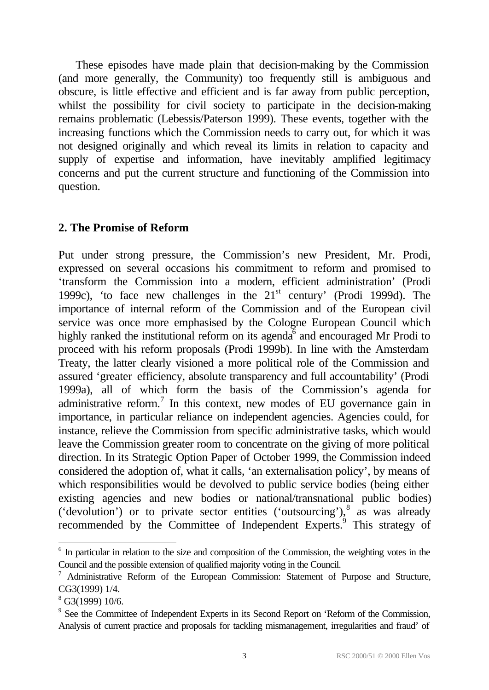These episodes have made plain that decision-making by the Commission (and more generally, the Community) too frequently still is ambiguous and obscure, is little effective and efficient and is far away from public perception, whilst the possibility for civil society to participate in the decision-making remains problematic (Lebessis/Paterson 1999). These events, together with the increasing functions which the Commission needs to carry out, for which it was not designed originally and which reveal its limits in relation to capacity and supply of expertise and information, have inevitably amplified legitimacy concerns and put the current structure and functioning of the Commission into question.

## **2. The Promise of Reform**

Put under strong pressure, the Commission's new President, Mr. Prodi, expressed on several occasions his commitment to reform and promised to 'transform the Commission into a modern, efficient administration' (Prodi 1999c), 'to face new challenges in the  $21<sup>st</sup>$  century' (Prodi 1999d). The importance of internal reform of the Commission and of the European civil service was once more emphasised by the Cologne European Council which highly ranked the institutional reform on its agenda $\overline{6}$  and encouraged Mr Prodi to proceed with his reform proposals (Prodi 1999b). In line with the Amsterdam Treaty, the latter clearly visioned a more political role of the Commission and assured 'greater efficiency, absolute transparency and full accountability' (Prodi 1999a), all of which form the basis of the Commission's agenda for administrative reform.<sup>7</sup> In this context, new modes of EU governance gain in importance, in particular reliance on independent agencies. Agencies could, for instance, relieve the Commission from specific administrative tasks, which would leave the Commission greater room to concentrate on the giving of more political direction. In its Strategic Option Paper of October 1999, the Commission indeed considered the adoption of, what it calls, 'an externalisation policy', by means of which responsibilities would be devolved to public service bodies (being either existing agencies and new bodies or national/transnational public bodies) ('devolution') or to private sector entities ('outsourcing'), $8$  as was already recommended by the Committee of Independent Experts.<sup>9</sup> This strategy of

<sup>&</sup>lt;sup>6</sup> In particular in relation to the size and composition of the Commission, the weighting votes in the Council and the possible extension of qualified majority voting in the Council.

 $7$  Administrative Reform of the European Commission: Statement of Purpose and Structure, CG3(1999) 1/4.

 $8$  G3(1999) 10/6.

<sup>&</sup>lt;sup>9</sup> See the Committee of Independent Experts in its Second Report on 'Reform of the Commission, Analysis of current practice and proposals for tackling mismanagement, irregularities and fraud' of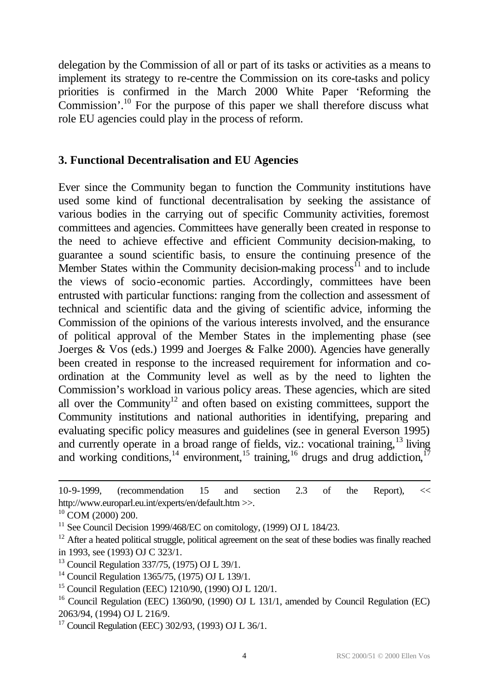delegation by the Commission of all or part of its tasks or activities as a means to implement its strategy to re-centre the Commission on its core-tasks and policy priorities is confirmed in the March 2000 White Paper 'Reforming the Commission'.<sup>10</sup> For the purpose of this paper we shall therefore discuss what role EU agencies could play in the process of reform.

## **3. Functional Decentralisation and EU Agencies**

Ever since the Community began to function the Community institutions have used some kind of functional decentralisation by seeking the assistance of various bodies in the carrying out of specific Community activities, foremost committees and agencies. Committees have generally been created in response to the need to achieve effective and efficient Community decision-making, to guarantee a sound scientific basis, to ensure the continuing presence of the Member States within the Community decision-making process<sup>11</sup> and to include the views of socio-economic parties. Accordingly, committees have been entrusted with particular functions: ranging from the collection and assessment of technical and scientific data and the giving of scientific advice, informing the Commission of the opinions of the various interests involved, and the ensurance of political approval of the Member States in the implementing phase (see Joerges & Vos (eds.) 1999 and Joerges & Falke 2000). Agencies have generally been created in response to the increased requirement for information and coordination at the Community level as well as by the need to lighten the Commission's workload in various policy areas. These agencies, which are sited all over the Community<sup>12</sup> and often based on existing committees, support the Community institutions and national authorities in identifying, preparing and evaluating specific policy measures and guidelines (see in general Everson 1995) and currently operate in a broad range of fields, viz.: vocational training,<sup>13</sup> living and working conditions,  $14$  environment,  $15$  training,  $16$  drugs and drug addiction,  $17$ 

<sup>10-9-1999, (</sup>recommendation 15 and section 2.3 of the Report), << http://www.europarl.eu.int/experts/en/default.htm >>.

<sup>10</sup> COM (2000) 200.

<sup>&</sup>lt;sup>11</sup> See Council Decision 1999/468/EC on comitology,  $(1999)$  OJ L 184/23.

 $12$  After a heated political struggle, political agreement on the seat of these bodies was finally reached in 1993, see (1993) OJ C 323/1.

<sup>13</sup> Council Regulation 337/75, (1975) OJ L 39/1.

<sup>14</sup> Council Regulation 1365/75, (1975) OJ L 139/1.

<sup>15</sup> Council Regulation (EEC) 1210/90, (1990) OJ L 120/1.

<sup>&</sup>lt;sup>16</sup> Council Regulation (EEC) 1360/90, (1990) OJ L 131/1, amended by Council Regulation (EC) 2063/94, (1994) OJ L 216/9.

<sup>&</sup>lt;sup>17</sup> Council Regulation (EEC) 302/93, (1993) OJ L 36/1.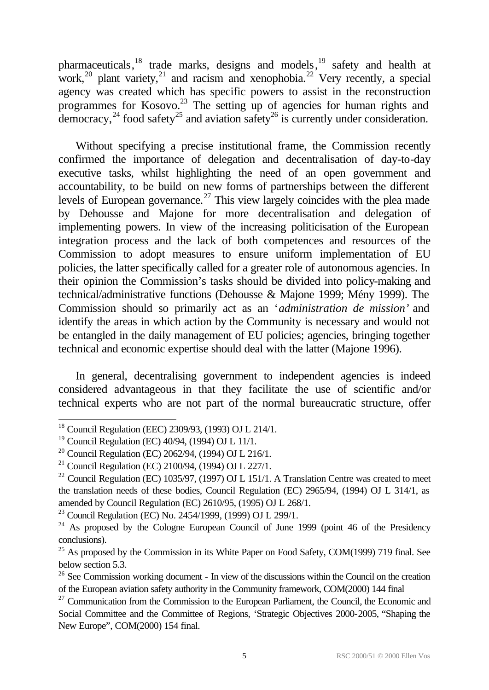pharmaceuticals, <sup>18</sup> trade marks, designs and models, <sup>19</sup> safety and health at work,<sup>20</sup> plant variety,<sup>21</sup> and racism and xenophobia.<sup>22</sup> Very recently, a special agency was created which has specific powers to assist in the reconstruction programmes for Kosovo.<sup>23</sup> The setting up of agencies for human rights and democracy,  $^{24}$  food safety<sup>25</sup> and aviation safety<sup>26</sup> is currently under consideration.

Without specifying a precise institutional frame, the Commission recently confirmed the importance of delegation and decentralisation of day-to-day executive tasks, whilst highlighting the need of an open government and accountability, to be build on new forms of partnerships between the different levels of European governance.<sup>27</sup> This view largely coincides with the plea made by Dehousse and Majone for more decentralisation and delegation of implementing powers. In view of the increasing politicisation of the European integration process and the lack of both competences and resources of the Commission to adopt measures to ensure uniform implementation of EU policies, the latter specifically called for a greater role of autonomous agencies. In their opinion the Commission's tasks should be divided into policy-making and technical/administrative functions (Dehousse & Majone 1999; Mény 1999). The Commission should so primarily act as an '*administration de mission'* and identify the areas in which action by the Community is necessary and would not be entangled in the daily management of EU policies; agencies, bringing together technical and economic expertise should deal with the latter (Majone 1996).

In general, decentralising government to independent agencies is indeed considered advantageous in that they facilitate the use of scientific and/or technical experts who are not part of the normal bureaucratic structure, offer

<sup>&</sup>lt;sup>18</sup> Council Regulation (EEC) 2309/93, (1993) OJ L 214/1.

<sup>19</sup> Council Regulation (EC) 40/94, (1994) OJ L 11/1.

<sup>&</sup>lt;sup>20</sup> Council Regulation (EC) 2062/94, (1994) OJ L 216/1.

<sup>&</sup>lt;sup>21</sup> Council Regulation (EC) 2100/94, (1994) OJ L 227/1.

<sup>&</sup>lt;sup>22</sup> Council Regulation (EC) 1035/97, (1997) OJ L 151/1. A Translation Centre was created to meet the translation needs of these bodies, Council Regulation (EC) 2965/94, (1994) OJ L 314/1, as amended by Council Regulation (EC) 2610/95, (1995) OJ L 268/1.

<sup>&</sup>lt;sup>23</sup> Council Regulation (EC) No. 2454/1999, (1999) OJ L 299/1.

 $24$  As proposed by the Cologne European Council of June 1999 (point 46 of the Presidency conclusions).

 $^{25}$  As proposed by the Commission in its White Paper on Food Safety, COM(1999) 719 final. See below section 5.3.

 $26$  See Commission working document - In view of the discussions within the Council on the creation of the European aviation safety authority in the Community framework, COM(2000) 144 final

 $27$  Communication from the Commission to the European Parliament, the Council, the Economic and Social Committee and the Committee of Regions, 'Strategic Objectives 2000-2005, "Shaping the New Europe", COM(2000) 154 final.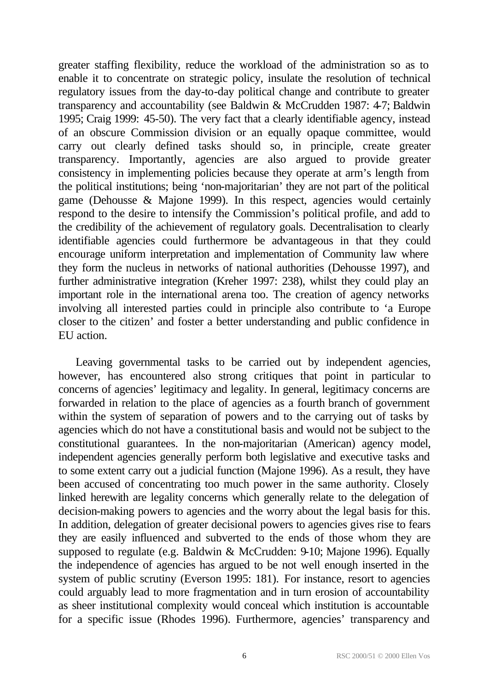greater staffing flexibility, reduce the workload of the administration so as to enable it to concentrate on strategic policy, insulate the resolution of technical regulatory issues from the day-to-day political change and contribute to greater transparency and accountability (see Baldwin & McCrudden 1987: 4-7; Baldwin 1995; Craig 1999: 45-50). The very fact that a clearly identifiable agency, instead of an obscure Commission division or an equally opaque committee, would carry out clearly defined tasks should so, in principle, create greater transparency. Importantly, agencies are also argued to provide greater consistency in implementing policies because they operate at arm's length from the political institutions; being 'non-majoritarian' they are not part of the political game (Dehousse & Majone 1999). In this respect, agencies would certainly respond to the desire to intensify the Commission's political profile, and add to the credibility of the achievement of regulatory goals. Decentralisation to clearly identifiable agencies could furthermore be advantageous in that they could encourage uniform interpretation and implementation of Community law where they form the nucleus in networks of national authorities (Dehousse 1997), and further administrative integration (Kreher 1997: 238), whilst they could play an important role in the international arena too. The creation of agency networks involving all interested parties could in principle also contribute to 'a Europe closer to the citizen' and foster a better understanding and public confidence in EU action.

Leaving governmental tasks to be carried out by independent agencies, however, has encountered also strong critiques that point in particular to concerns of agencies' legitimacy and legality. In general, legitimacy concerns are forwarded in relation to the place of agencies as a fourth branch of government within the system of separation of powers and to the carrying out of tasks by agencies which do not have a constitutional basis and would not be subject to the constitutional guarantees. In the non-majoritarian (American) agency model, independent agencies generally perform both legislative and executive tasks and to some extent carry out a judicial function (Majone 1996). As a result, they have been accused of concentrating too much power in the same authority. Closely linked herewith are legality concerns which generally relate to the delegation of decision-making powers to agencies and the worry about the legal basis for this. In addition, delegation of greater decisional powers to agencies gives rise to fears they are easily influenced and subverted to the ends of those whom they are supposed to regulate (e.g. Baldwin & McCrudden: 9-10; Majone 1996). Equally the independence of agencies has argued to be not well enough inserted in the system of public scrutiny (Everson 1995: 181). For instance, resort to agencies could arguably lead to more fragmentation and in turn erosion of accountability as sheer institutional complexity would conceal which institution is accountable for a specific issue (Rhodes 1996). Furthermore, agencies' transparency and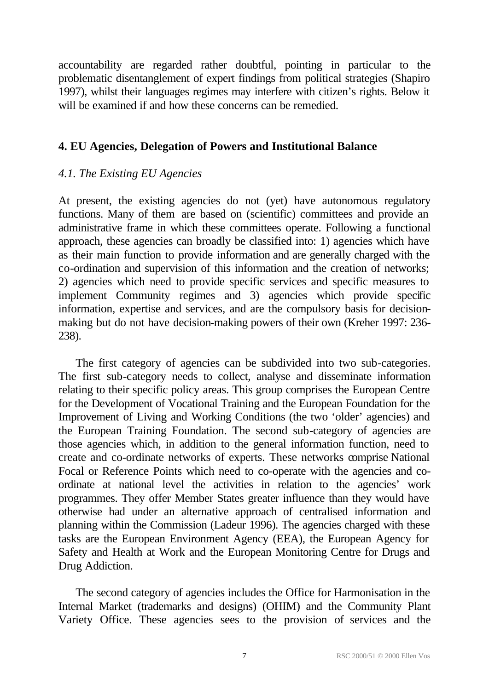accountability are regarded rather doubtful, pointing in particular to the problematic disentanglement of expert findings from political strategies (Shapiro 1997), whilst their languages regimes may interfere with citizen's rights. Below it will be examined if and how these concerns can be remedied.

## **4. EU Agencies, Delegation of Powers and Institutional Balance**

## *4.1. The Existing EU Agencies*

At present, the existing agencies do not (yet) have autonomous regulatory functions. Many of them are based on (scientific) committees and provide an administrative frame in which these committees operate. Following a functional approach, these agencies can broadly be classified into: 1) agencies which have as their main function to provide information and are generally charged with the co-ordination and supervision of this information and the creation of networks; 2) agencies which need to provide specific services and specific measures to implement Community regimes and 3) agencies which provide specific information, expertise and services, and are the compulsory basis for decisionmaking but do not have decision-making powers of their own (Kreher 1997: 236- 238).

The first category of agencies can be subdivided into two sub-categories. The first sub-category needs to collect, analyse and disseminate information relating to their specific policy areas. This group comprises the European Centre for the Development of Vocational Training and the European Foundation for the Improvement of Living and Working Conditions (the two 'older' agencies) and the European Training Foundation. The second sub-category of agencies are those agencies which, in addition to the general information function, need to create and co-ordinate networks of experts. These networks comprise National Focal or Reference Points which need to co-operate with the agencies and coordinate at national level the activities in relation to the agencies' work programmes. They offer Member States greater influence than they would have otherwise had under an alternative approach of centralised information and planning within the Commission (Ladeur 1996). The agencies charged with these tasks are the European Environment Agency (EEA), the European Agency for Safety and Health at Work and the European Monitoring Centre for Drugs and Drug Addiction.

The second category of agencies includes the Office for Harmonisation in the Internal Market (trademarks and designs) (OHIM) and the Community Plant Variety Office. These agencies sees to the provision of services and the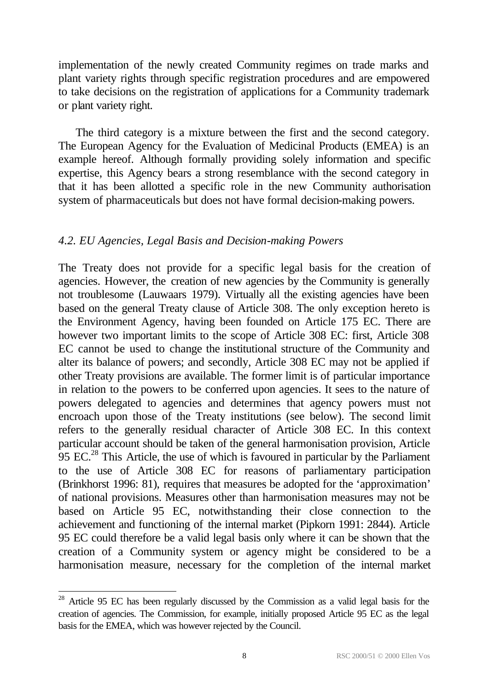implementation of the newly created Community regimes on trade marks and plant variety rights through specific registration procedures and are empowered to take decisions on the registration of applications for a Community trademark or plant variety right.

The third category is a mixture between the first and the second category. The European Agency for the Evaluation of Medicinal Products (EMEA) is an example hereof. Although formally providing solely information and specific expertise, this Agency bears a strong resemblance with the second category in that it has been allotted a specific role in the new Community authorisation system of pharmaceuticals but does not have formal decision-making powers.

#### *4.2. EU Agencies, Legal Basis and Decision-making Powers*

The Treaty does not provide for a specific legal basis for the creation of agencies. However, the creation of new agencies by the Community is generally not troublesome (Lauwaars 1979). Virtually all the existing agencies have been based on the general Treaty clause of Article 308. The only exception hereto is the Environment Agency, having been founded on Article 175 EC. There are however two important limits to the scope of Article 308 EC: first, Article 308 EC cannot be used to change the institutional structure of the Community and alter its balance of powers; and secondly, Article 308 EC may not be applied if other Treaty provisions are available. The former limit is of particular importance in relation to the powers to be conferred upon agencies. It sees to the nature of powers delegated to agencies and determines that agency powers must not encroach upon those of the Treaty institutions (see below). The second limit refers to the generally residual character of Article 308 EC. In this context particular account should be taken of the general harmonisation provision, Article 95 EC.<sup>28</sup> This Article, the use of which is favoured in particular by the Parliament to the use of Article 308 EC for reasons of parliamentary participation (Brinkhorst 1996: 81), requires that measures be adopted for the 'approximation' of national provisions. Measures other than harmonisation measures may not be based on Article 95 EC, notwithstanding their close connection to the achievement and functioning of the internal market (Pipkorn 1991: 2844). Article 95 EC could therefore be a valid legal basis only where it can be shown that the creation of a Community system or agency might be considered to be a harmonisation measure, necessary for the completion of the internal market

<sup>&</sup>lt;sup>28</sup> Article 95 EC has been regularly discussed by the Commission as a valid legal basis for the creation of agencies. The Commission, for example, initially proposed Article 95 EC as the legal basis for the EMEA, which was however rejected by the Council.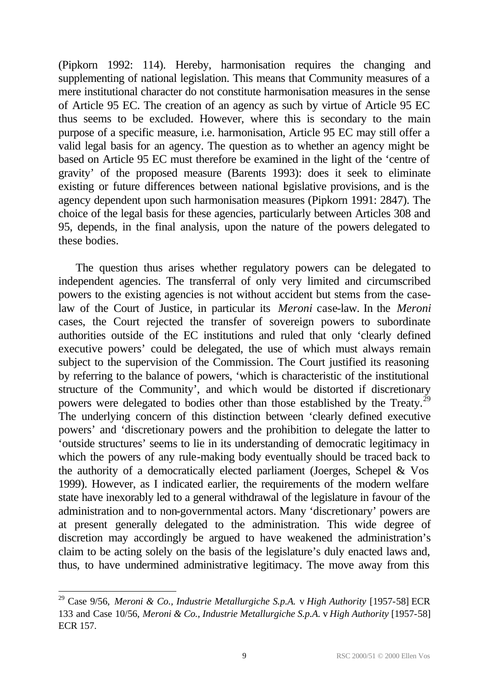(Pipkorn 1992: 114). Hereby, harmonisation requires the changing and supplementing of national legislation. This means that Community measures of a mere institutional character do not constitute harmonisation measures in the sense of Article 95 EC. The creation of an agency as such by virtue of Article 95 EC thus seems to be excluded. However, where this is secondary to the main purpose of a specific measure, i.e. harmonisation, Article 95 EC may still offer a valid legal basis for an agency. The question as to whether an agency might be based on Article 95 EC must therefore be examined in the light of the 'centre of gravity' of the proposed measure (Barents 1993): does it seek to eliminate existing or future differences between national legislative provisions, and is the agency dependent upon such harmonisation measures (Pipkorn 1991: 2847). The choice of the legal basis for these agencies, particularly between Articles 308 and 95, depends, in the final analysis, upon the nature of the powers delegated to these bodies.

The question thus arises whether regulatory powers can be delegated to independent agencies. The transferral of only very limited and circumscribed powers to the existing agencies is not without accident but stems from the caselaw of the Court of Justice, in particular its *Meroni* case-law. In the *Meroni* cases, the Court rejected the transfer of sovereign powers to subordinate authorities outside of the EC institutions and ruled that only 'clearly defined executive powers' could be delegated, the use of which must always remain subject to the supervision of the Commission. The Court justified its reasoning by referring to the balance of powers, 'which is characteristic of the institutional structure of the Community', and which would be distorted if discretionary powers were delegated to bodies other than those established by the Treaty.<sup>29</sup> The underlying concern of this distinction between 'clearly defined executive powers' and 'discretionary powers and the prohibition to delegate the latter to 'outside structures' seems to lie in its understanding of democratic legitimacy in which the powers of any rule-making body eventually should be traced back to the authority of a democratically elected parliament (Joerges, Schepel & Vos 1999). However, as I indicated earlier, the requirements of the modern welfare state have inexorably led to a general withdrawal of the legislature in favour of the administration and to non-governmental actors. Many 'discretionary' powers are at present generally delegated to the administration. This wide degree of discretion may accordingly be argued to have weakened the administration's claim to be acting solely on the basis of the legislature's duly enacted laws and, thus, to have undermined administrative legitimacy. The move away from this

<sup>29</sup> Case 9/56, *Meroni & Co., Industrie Metallurgiche S.p.A.* v *High Authority* [1957-58] ECR 133 and Case 10/56, *Meroni & Co., Industrie Metallurgiche S.p.A.* v *High Authority* [1957-58] ECR 157.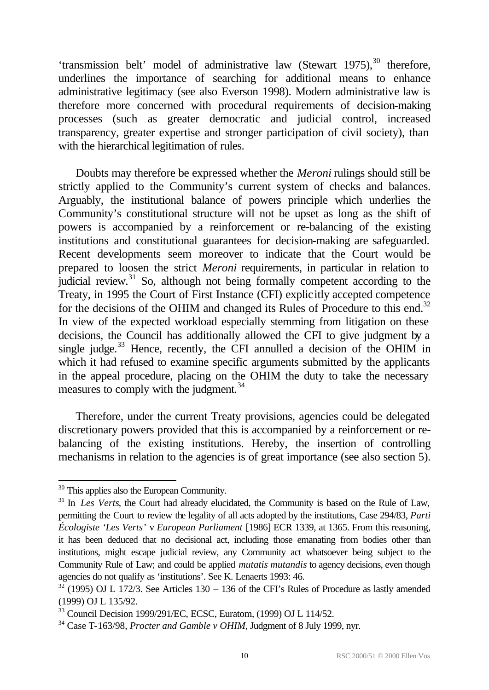'transmission belt' model of administrative law (Stewart 1975), <sup>30</sup> therefore, underlines the importance of searching for additional means to enhance administrative legitimacy (see also Everson 1998). Modern administrative law is therefore more concerned with procedural requirements of decision-making processes (such as greater democratic and judicial control, increased transparency, greater expertise and stronger participation of civil society), than with the hierarchical legitimation of rules.

Doubts may therefore be expressed whether the *Meroni* rulings should still be strictly applied to the Community's current system of checks and balances. Arguably, the institutional balance of powers principle which underlies the Community's constitutional structure will not be upset as long as the shift of powers is accompanied by a reinforcement or re-balancing of the existing institutions and constitutional guarantees for decision-making are safeguarded. Recent developments seem moreover to indicate that the Court would be prepared to loosen the strict *Meroni* requirements, in particular in relation to judicial review.<sup>31</sup> So, although not being formally competent according to the Treaty, in 1995 the Court of First Instance (CFI) explicitly accepted competence for the decisions of the OHIM and changed its Rules of Procedure to this end.<sup>32</sup> In view of the expected workload especially stemming from litigation on these decisions, the Council has additionally allowed the CFI to give judgment by a single judge.<sup>33</sup> Hence, recently, the CFI annulled a decision of the OHIM in which it had refused to examine specific arguments submitted by the applicants in the appeal procedure, placing on the OHIM the duty to take the necessary measures to comply with the judgment.<sup>34</sup>

Therefore, under the current Treaty provisions, agencies could be delegated discretionary powers provided that this is accompanied by a reinforcement or rebalancing of the existing institutions. Hereby, the insertion of controlling mechanisms in relation to the agencies is of great importance (see also section 5).

<sup>&</sup>lt;sup>30</sup> This applies also the European Community.

<sup>&</sup>lt;sup>31</sup> In *Les Verts*, the Court had already elucidated, the Community is based on the Rule of Law, permitting the Court to review the legality of all acts adopted by the institutions, Case 294/83, *Parti Écologiste 'Les Verts'* v *European Parliament* [1986] ECR 1339, at 1365. From this reasoning, it has been deduced that no decisional act, including those emanating from bodies other than institutions, might escape judicial review, any Community act whatsoever being subject to the Community Rule of Law; and could be applied *mutatis mutandis* to agency decisions, even though agencies do not qualify as 'institutions'. See K. Lenaerts 1993: 46.

 $32$  (1995) OJ L 172/3. See Articles 130 – 136 of the CFI's Rules of Procedure as lastly amended (1999) OJ L 135/92.

<sup>33</sup> Council Decision 1999/291/EC, ECSC, Euratom, (1999) OJ L 114/52.

<sup>34</sup> Case T-163/98, *Procter and Gamble v OHIM*, Judgment of 8 July 1999, nyr.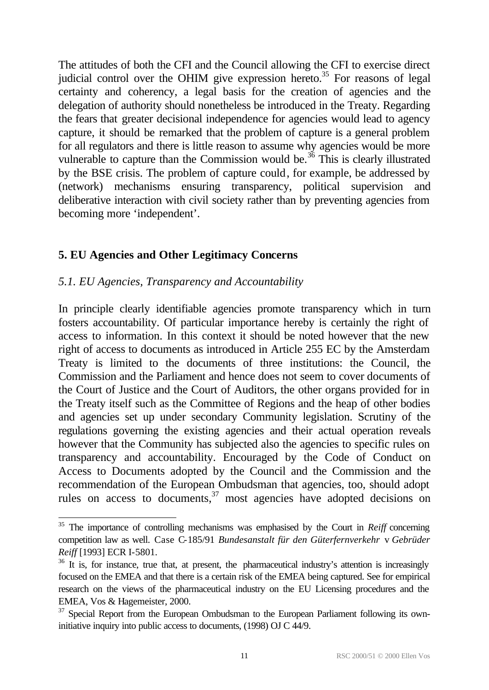The attitudes of both the CFI and the Council allowing the CFI to exercise direct judicial control over the OHIM give expression hereto.<sup>35</sup> For reasons of legal certainty and coherency, a legal basis for the creation of agencies and the delegation of authority should nonetheless be introduced in the Treaty. Regarding the fears that greater decisional independence for agencies would lead to agency capture, it should be remarked that the problem of capture is a general problem for all regulators and there is little reason to assume why agencies would be more vulnerable to capture than the Commission would be.<sup>36</sup> This is clearly illustrated by the BSE crisis. The problem of capture could, for example, be addressed by (network) mechanisms ensuring transparency, political supervision and deliberative interaction with civil society rather than by preventing agencies from becoming more 'independent'.

## **5. EU Agencies and Other Legitimacy Concerns**

## *5.1. EU Agencies, Transparency and Accountability*

l

In principle clearly identifiable agencies promote transparency which in turn fosters accountability. Of particular importance hereby is certainly the right of access to information. In this context it should be noted however that the new right of access to documents as introduced in Article 255 EC by the Amsterdam Treaty is limited to the documents of three institutions: the Council, the Commission and the Parliament and hence does not seem to cover documents of the Court of Justice and the Court of Auditors, the other organs provided for in the Treaty itself such as the Committee of Regions and the heap of other bodies and agencies set up under secondary Community legislation. Scrutiny of the regulations governing the existing agencies and their actual operation reveals however that the Community has subjected also the agencies to specific rules on transparency and accountability. Encouraged by the Code of Conduct on Access to Documents adopted by the Council and the Commission and the recommendation of the European Ombudsman that agencies, too, should adopt rules on access to documents,<sup>37</sup> most agencies have adopted decisions on

<sup>&</sup>lt;sup>35</sup> The importance of controlling mechanisms was emphasised by the Court in *Reiff* concerning competition law as well. Case C-185/91 *Bundesanstalt für den Güterfernverkehr* v *Gebrüder Reiff* [1993] ECR I-5801.

 $36$  It is, for instance, true that, at present, the pharmaceutical industry's attention is increasingly focused on the EMEA and that there is a certain risk of the EMEA being captured. See for empirical research on the views of the pharmaceutical industry on the EU Licensing procedures and the EMEA, Vos & Hagemeister, 2000.

 $37$  Special Report from the European Ombudsman to the European Parliament following its owninitiative inquiry into public access to documents, (1998) OJ C 44/9.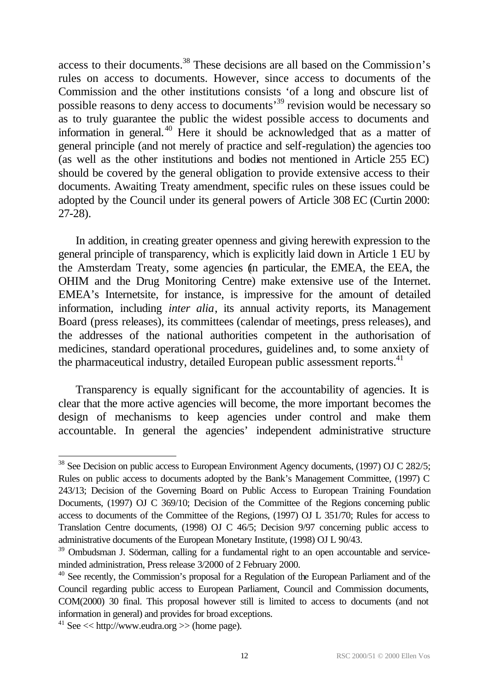access to their documents.<sup>38</sup> These decisions are all based on the Commission's rules on access to documents. However, since access to documents of the Commission and the other institutions consists 'of a long and obscure list of possible reasons to deny access to documents'<sup>39</sup> revision would be necessary so as to truly guarantee the public the widest possible access to documents and information in general.<sup>40</sup> Here it should be acknowledged that as a matter of general principle (and not merely of practice and self-regulation) the agencies too (as well as the other institutions and bodies not mentioned in Article 255 EC) should be covered by the general obligation to provide extensive access to their documents. Awaiting Treaty amendment, specific rules on these issues could be adopted by the Council under its general powers of Article 308 EC (Curtin 2000: 27-28).

In addition, in creating greater openness and giving herewith expression to the general principle of transparency, which is explicitly laid down in Article 1 EU by the Amsterdam Treaty, some agencies (in particular, the EMEA, the EEA, the OHIM and the Drug Monitoring Centre) make extensive use of the Internet. EMEA's Internetsite, for instance, is impressive for the amount of detailed information, including *inter alia*, its annual activity reports, its Management Board (press releases), its committees (calendar of meetings, press releases), and the addresses of the national authorities competent in the authorisation of medicines, standard operational procedures, guidelines and, to some anxiety of the pharmaceutical industry, detailed European public assessment reports.<sup>41</sup>

Transparency is equally significant for the accountability of agencies. It is clear that the more active agencies will become, the more important becomes the design of mechanisms to keep agencies under control and make them accountable. In general the agencies' independent administrative structure

<sup>&</sup>lt;sup>38</sup> See Decision on public access to European Environment Agency documents, (1997) OJ C 282/5; Rules on public access to documents adopted by the Bank's Management Committee, (1997) C 243/13; Decision of the Governing Board on Public Access to European Training Foundation Documents, (1997) OJ C 369/10; Decision of the Committee of the Regions concerning public access to documents of the Committee of the Regions, (1997) OJ L 351/70; Rules for access to Translation Centre documents, (1998) OJ C 46/5; Decision 9/97 concerning public access to administrative documents of the European Monetary Institute, (1998) OJ L 90/43.

<sup>&</sup>lt;sup>39</sup> Ombudsman J. Söderman, calling for a fundamental right to an open accountable and serviceminded administration, Press release 3/2000 of 2 February 2000.

<sup>&</sup>lt;sup>40</sup> See recently, the Commission's proposal for a Regulation of the European Parliament and of the Council regarding public access to European Parliament, Council and Commission documents, COM(2000) 30 final. This proposal however still is limited to access to documents (and not information in general) and provides for broad exceptions.

<sup>&</sup>lt;sup>41</sup> See  $<<$  http://www.eudra.org  $>>$  (home page).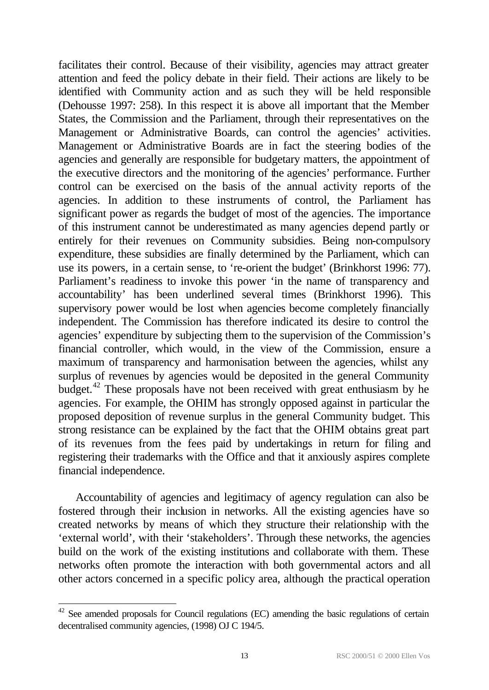facilitates their control. Because of their visibility, agencies may attract greater attention and feed the policy debate in their field. Their actions are likely to be identified with Community action and as such they will be held responsible (Dehousse 1997: 258). In this respect it is above all important that the Member States, the Commission and the Parliament, through their representatives on the Management or Administrative Boards, can control the agencies' activities. Management or Administrative Boards are in fact the steering bodies of the agencies and generally are responsible for budgetary matters, the appointment of the executive directors and the monitoring of the agencies' performance. Further control can be exercised on the basis of the annual activity reports of the agencies. In addition to these instruments of control, the Parliament has significant power as regards the budget of most of the agencies. The importance of this instrument cannot be underestimated as many agencies depend partly or entirely for their revenues on Community subsidies. Being non-compulsory expenditure, these subsidies are finally determined by the Parliament, which can use its powers, in a certain sense, to 're-orient the budget' (Brinkhorst 1996: 77). Parliament's readiness to invoke this power 'in the name of transparency and accountability' has been underlined several times (Brinkhorst 1996). This supervisory power would be lost when agencies become completely financially independent. The Commission has therefore indicated its desire to control the agencies' expenditure by subjecting them to the supervision of the Commission's financial controller, which would, in the view of the Commission, ensure a maximum of transparency and harmonisation between the agencies, whilst any surplus of revenues by agencies would be deposited in the general Community budget.<sup>42</sup> These proposals have not been received with great enthusiasm by he agencies. For example, the OHIM has strongly opposed against in particular the proposed deposition of revenue surplus in the general Community budget. This strong resistance can be explained by the fact that the OHIM obtains great part of its revenues from the fees paid by undertakings in return for filing and registering their trademarks with the Office and that it anxiously aspires complete financial independence.

Accountability of agencies and legitimacy of agency regulation can also be fostered through their inclusion in networks. All the existing agencies have so created networks by means of which they structure their relationship with the 'external world', with their 'stakeholders'. Through these networks, the agencies build on the work of the existing institutions and collaborate with them. These networks often promote the interaction with both governmental actors and all other actors concerned in a specific policy area, although the practical operation

 $42$  See amended proposals for Council regulations (EC) amending the basic regulations of certain decentralised community agencies, (1998) OJ C 194/5.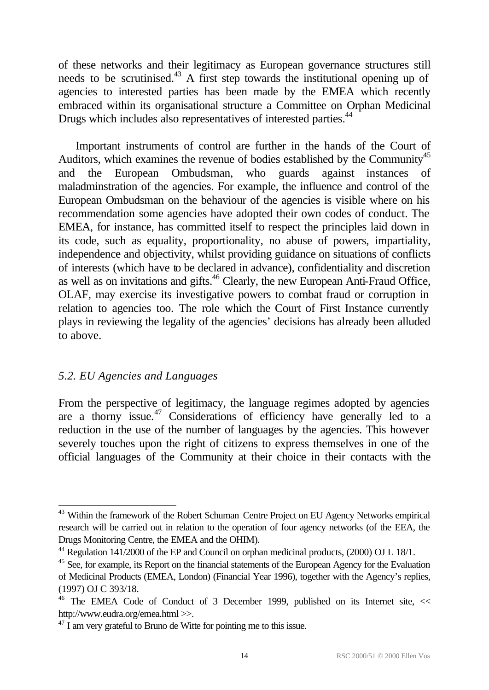of these networks and their legitimacy as European governance structures still needs to be scrutinised.<sup>43</sup> A first step towards the institutional opening up of agencies to interested parties has been made by the EMEA which recently embraced within its organisational structure a Committee on Orphan Medicinal Drugs which includes also representatives of interested parties.<sup>44</sup>

Important instruments of control are further in the hands of the Court of Auditors, which examines the revenue of bodies established by the Community<sup>45</sup> and the European Ombudsman, who guards against instances of maladminstration of the agencies. For example, the influence and control of the European Ombudsman on the behaviour of the agencies is visible where on his recommendation some agencies have adopted their own codes of conduct. The EMEA, for instance, has committed itself to respect the principles laid down in its code, such as equality, proportionality, no abuse of powers, impartiality, independence and objectivity, whilst providing guidance on situations of conflicts of interests (which have to be declared in advance), confidentiality and discretion as well as on invitations and gifts.<sup>46</sup> Clearly, the new European Anti-Fraud Office, OLAF, may exercise its investigative powers to combat fraud or corruption in relation to agencies too. The role which the Court of First Instance currently plays in reviewing the legality of the agencies' decisions has already been alluded to above.

#### *5.2. EU Agencies and Languages*

l

From the perspective of legitimacy, the language regimes adopted by agencies are a thorny issue. $47$  Considerations of efficiency have generally led to a reduction in the use of the number of languages by the agencies. This however severely touches upon the right of citizens to express themselves in one of the official languages of the Community at their choice in their contacts with the

<sup>&</sup>lt;sup>43</sup> Within the framework of the Robert Schuman Centre Project on EU Agency Networks empirical research will be carried out in relation to the operation of four agency networks (of the EEA, the Drugs Monitoring Centre, the EMEA and the OHIM).

<sup>44</sup> Regulation 141/2000 of the EP and Council on orphan medicinal products, (2000) OJ L 18/1.

<sup>&</sup>lt;sup>45</sup> See, for example, its Report on the financial statements of the European Agency for the Evaluation of Medicinal Products (EMEA, London) (Financial Year 1996), together with the Agency's replies, (1997) OJ C 393/18.

<sup>&</sup>lt;sup>46</sup> The EMEA Code of Conduct of 3 December 1999, published on its Internet site, << http://www.eudra.org/emea.html >>.

 $^{47}$  I am very grateful to Bruno de Witte for pointing me to this issue.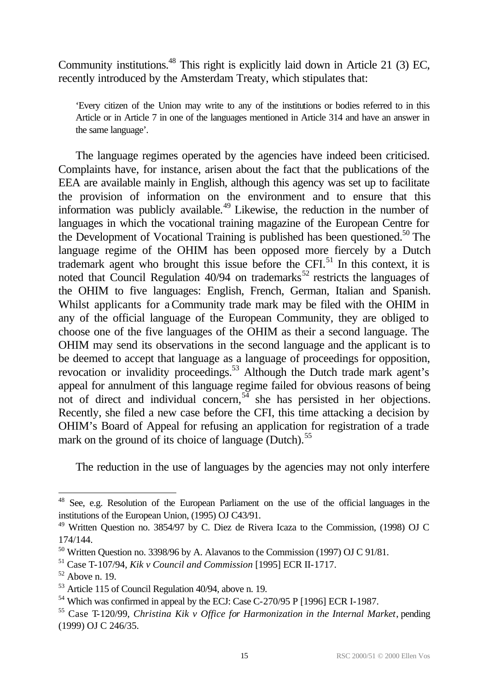Community institutions.<sup>48</sup> This right is explicitly laid down in Article 21 (3) EC, recently introduced by the Amsterdam Treaty, which stipulates that:

'Every citizen of the Union may write to any of the institutions or bodies referred to in this Article or in Article 7 in one of the languages mentioned in Article 314 and have an answer in the same language'.

The language regimes operated by the agencies have indeed been criticised. Complaints have, for instance, arisen about the fact that the publications of the EEA are available mainly in English, although this agency was set up to facilitate the provision of information on the environment and to ensure that this information was publicly available.<sup>49</sup> Likewise, the reduction in the number of languages in which the vocational training magazine of the European Centre for the Development of Vocational Training is published has been questioned.<sup>50</sup> The language regime of the OHIM has been opposed more fiercely by a Dutch trademark agent who brought this issue before the  $\text{CFI}^{51}$  In this context, it is noted that Council Regulation  $40/94$  on trademarks<sup>52</sup> restricts the languages of the OHIM to five languages: English, French, German, Italian and Spanish. Whilst applicants for a Community trade mark may be filed with the OHIM in any of the official language of the European Community, they are obliged to choose one of the five languages of the OHIM as their a second language. The OHIM may send its observations in the second language and the applicant is to be deemed to accept that language as a language of proceedings for opposition, revocation or invalidity proceedings.<sup>53</sup> Although the Dutch trade mark agent's appeal for annulment of this language regime failed for obvious reasons of being not of direct and individual concern,  $5\frac{3}{4}$  she has persisted in her objections. Recently, she filed a new case before the CFI, this time attacking a decision by OHIM's Board of Appeal for refusing an application for registration of a trade mark on the ground of its choice of language (Dutch).<sup>55</sup>

The reduction in the use of languages by the agencies may not only interfere

<sup>&</sup>lt;sup>48</sup> See, e.g. Resolution of the European Parliament on the use of the official languages in the institutions of the European Union, (1995) OJ C43/91.

<sup>&</sup>lt;sup>49</sup> Written Question no. 3854/97 by C. Diez de Rivera Icaza to the Commission, (1998) OJ C 174/144.

 $50$  Written Question no. 3398/96 by A. Alavanos to the Commission (1997) OJ C 91/81.

<sup>51</sup> Case T-107/94, *Kik v Council and Commission* [1995] ECR II-1717.

 $52$  Above n. 19.

<sup>53</sup> Article 115 of Council Regulation 40/94, above n. 19.

<sup>54</sup> Which was confirmed in appeal by the ECJ: Case C-270/95 P [1996] ECR I-1987.

<sup>55</sup> Case T-120/99, *Christina Kik v Office for Harmonization in the Internal Market*, pending (1999) OJ C 246/35.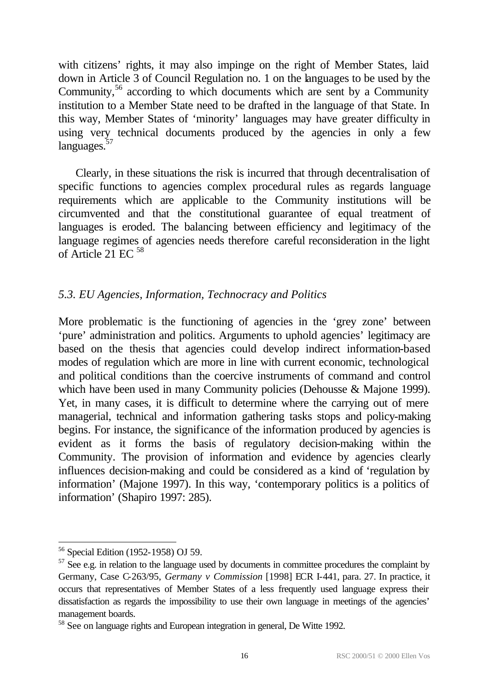with citizens' rights, it may also impinge on the right of Member States, laid down in Article 3 of Council Regulation no. 1 on the languages to be used by the Community,  $56$  according to which documents which are sent by a Community institution to a Member State need to be drafted in the language of that State. In this way, Member States of 'minority' languages may have greater difficulty in using very technical documents produced by the agencies in only a few languages.<sup>57</sup>

Clearly, in these situations the risk is incurred that through decentralisation of specific functions to agencies complex procedural rules as regards language requirements which are applicable to the Community institutions will be circumvented and that the constitutional guarantee of equal treatment of languages is eroded. The balancing between efficiency and legitimacy of the language regimes of agencies needs therefore careful reconsideration in the light of Article 21 EC  $58$ 

## *5.3. EU Agencies, Information, Technocracy and Politics*

More problematic is the functioning of agencies in the 'grey zone' between 'pure' administration and politics. Arguments to uphold agencies' legitimacy are based on the thesis that agencies could develop indirect information-based modes of regulation which are more in line with current economic, technological and political conditions than the coercive instruments of command and control which have been used in many Community policies (Dehousse & Majone 1999). Yet, in many cases, it is difficult to determine where the carrying out of mere managerial, technical and information gathering tasks stops and policy-making begins. For instance, the significance of the information produced by agencies is evident as it forms the basis of regulatory decision-making within the Community. The provision of information and evidence by agencies clearly influences decision-making and could be considered as a kind of 'regulation by information' (Majone 1997). In this way, 'contemporary politics is a politics of information' (Shapiro 1997: 285).

<sup>56</sup> Special Edition (1952-1958) OJ 59.

 $57$  See e.g. in relation to the language used by documents in committee procedures the complaint by Germany, Case C-263/95, *Germany v Commission* [1998] ECR I-441, para. 27. In practice, it occurs that representatives of Member States of a less frequently used language express their dissatisfaction as regards the impossibility to use their own language in meetings of the agencies' management boards.

<sup>&</sup>lt;sup>58</sup> See on language rights and European integration in general, De Witte 1992.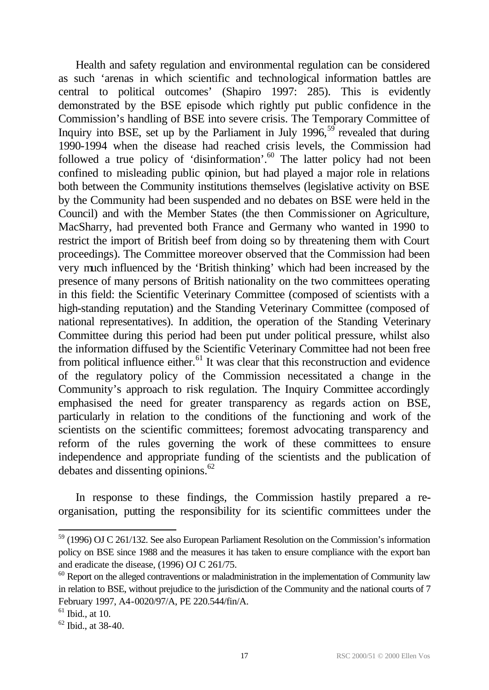Health and safety regulation and environmental regulation can be considered as such 'arenas in which scientific and technological information battles are central to political outcomes' (Shapiro 1997: 285). This is evidently demonstrated by the BSE episode which rightly put public confidence in the Commission's handling of BSE into severe crisis. The Temporary Committee of Inquiry into BSE, set up by the Parliament in July  $1996$ ,  $^{59}$  revealed that during 1990-1994 when the disease had reached crisis levels, the Commission had followed a true policy of 'disinformation'.<sup>60</sup> The latter policy had not been confined to misleading public opinion, but had played a major role in relations both between the Community institutions themselves (legislative activity on BSE by the Community had been suspended and no debates on BSE were held in the Council) and with the Member States (the then Commissioner on Agriculture, MacSharry, had prevented both France and Germany who wanted in 1990 to restrict the import of British beef from doing so by threatening them with Court proceedings). The Committee moreover observed that the Commission had been very much influenced by the 'British thinking' which had been increased by the presence of many persons of British nationality on the two committees operating in this field: the Scientific Veterinary Committee (composed of scientists with a high-standing reputation) and the Standing Veterinary Committee (composed of national representatives). In addition, the operation of the Standing Veterinary Committee during this period had been put under political pressure, whilst also the information diffused by the Scientific Veterinary Committee had not been free from political influence either. $61$  It was clear that this reconstruction and evidence of the regulatory policy of the Commission necessitated a change in the Community's approach to risk regulation. The Inquiry Committee accordingly emphasised the need for greater transparency as regards action on BSE, particularly in relation to the conditions of the functioning and work of the scientists on the scientific committees; foremost advocating transparency and reform of the rules governing the work of these committees to ensure independence and appropriate funding of the scientists and the publication of debates and dissenting opinions. $62$ 

In response to these findings, the Commission hastily prepared a reorganisation, putting the responsibility for its scientific committees under the

 $59$  (1996) OJ C 261/132. See also European Parliament Resolution on the Commission's information policy on BSE since 1988 and the measures it has taken to ensure compliance with the export ban and eradicate the disease, (1996) OJ C 261/75.

 $60$  Report on the alleged contraventions or maladministration in the implementation of Community law in relation to BSE, without prejudice to the jurisdiction of the Community and the national courts of 7 February 1997, A4-0020/97/A, PE 220.544/fin/A.

 $61$  Ibid., at 10.

 $62$  Ibid., at 38-40.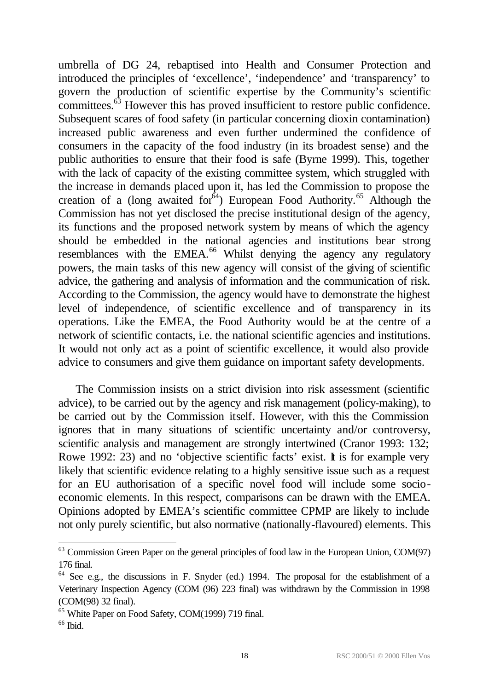umbrella of DG 24, rebaptised into Health and Consumer Protection and introduced the principles of 'excellence', 'independence' and 'transparency' to govern the production of scientific expertise by the Community's scientific committees.<sup>63</sup> However this has proved insufficient to restore public confidence. Subsequent scares of food safety (in particular concerning dioxin contamination) increased public awareness and even further undermined the confidence of consumers in the capacity of the food industry (in its broadest sense) and the public authorities to ensure that their food is safe (Byrne 1999). This, together with the lack of capacity of the existing committee system, which struggled with the increase in demands placed upon it, has led the Commission to propose the creation of a (long awaited for  $64$ ) European Food Authority.<sup>65</sup> Although the Commission has not yet disclosed the precise institutional design of the agency, its functions and the proposed network system by means of which the agency should be embedded in the national agencies and institutions bear strong resemblances with the EMEA.<sup>66</sup> Whilst denying the agency any regulatory powers, the main tasks of this new agency will consist of the giving of scientific advice, the gathering and analysis of information and the communication of risk. According to the Commission, the agency would have to demonstrate the highest level of independence, of scientific excellence and of transparency in its operations. Like the EMEA, the Food Authority would be at the centre of a network of scientific contacts, i.e. the national scientific agencies and institutions. It would not only act as a point of scientific excellence, it would also provide advice to consumers and give them guidance on important safety developments.

The Commission insists on a strict division into risk assessment (scientific advice), to be carried out by the agency and risk management (policy-making), to be carried out by the Commission itself. However, with this the Commission ignores that in many situations of scientific uncertainty and/or controversy, scientific analysis and management are strongly intertwined (Cranor 1993: 132; Rowe 1992: 23) and no 'objective scientific facts' exist. **I** is for example very likely that scientific evidence relating to a highly sensitive issue such as a request for an EU authorisation of a specific novel food will include some socioeconomic elements. In this respect, comparisons can be drawn with the EMEA. Opinions adopted by EMEA's scientific committee CPMP are likely to include not only purely scientific, but also normative (nationally-flavoured) elements. This

 $63$  Commission Green Paper on the general principles of food law in the European Union, COM(97) 176 final.

 $64$  See e.g., the discussions in F. Snyder (ed.) 1994. The proposal for the establishment of a Veterinary Inspection Agency (COM (96) 223 final) was withdrawn by the Commission in 1998 (COM(98) 32 final).

<sup>&</sup>lt;sup>65</sup> White Paper on Food Safety, COM(1999) 719 final.

<sup>66</sup> Ibid*.*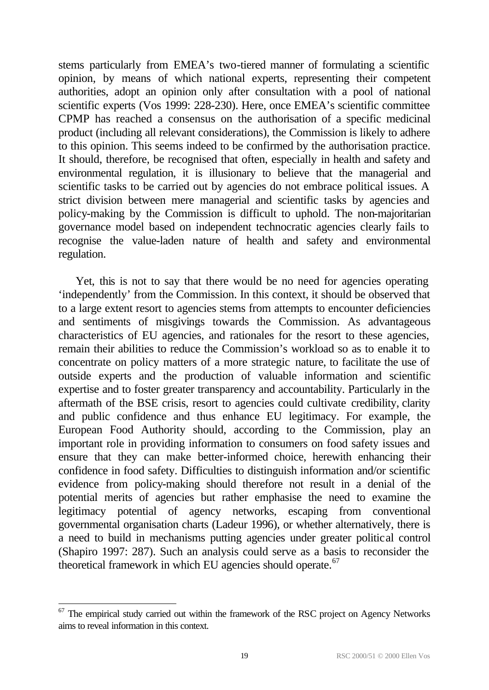stems particularly from EMEA's two-tiered manner of formulating a scientific opinion, by means of which national experts, representing their competent authorities, adopt an opinion only after consultation with a pool of national scientific experts (Vos 1999: 228-230). Here, once EMEA's scientific committee CPMP has reached a consensus on the authorisation of a specific medicinal product (including all relevant considerations), the Commission is likely to adhere to this opinion. This seems indeed to be confirmed by the authorisation practice. It should, therefore, be recognised that often, especially in health and safety and environmental regulation, it is illusionary to believe that the managerial and scientific tasks to be carried out by agencies do not embrace political issues. A strict division between mere managerial and scientific tasks by agencies and policy-making by the Commission is difficult to uphold. The non-majoritarian governance model based on independent technocratic agencies clearly fails to recognise the value-laden nature of health and safety and environmental regulation.

Yet, this is not to say that there would be no need for agencies operating 'independently' from the Commission. In this context, it should be observed that to a large extent resort to agencies stems from attempts to encounter deficiencies and sentiments of misgivings towards the Commission. As advantageous characteristics of EU agencies, and rationales for the resort to these agencies, remain their abilities to reduce the Commission's workload so as to enable it to concentrate on policy matters of a more strategic nature, to facilitate the use of outside experts and the production of valuable information and scientific expertise and to foster greater transparency and accountability. Particularly in the aftermath of the BSE crisis, resort to agencies could cultivate credibility, clarity and public confidence and thus enhance EU legitimacy. For example, the European Food Authority should, according to the Commission, play an important role in providing information to consumers on food safety issues and ensure that they can make better-informed choice, herewith enhancing their confidence in food safety. Difficulties to distinguish information and/or scientific evidence from policy-making should therefore not result in a denial of the potential merits of agencies but rather emphasise the need to examine the legitimacy potential of agency networks, escaping from conventional governmental organisation charts (Ladeur 1996), or whether alternatively, there is a need to build in mechanisms putting agencies under greater political control (Shapiro 1997: 287). Such an analysis could serve as a basis to reconsider the theoretical framework in which EU agencies should operate.<sup>67</sup>

 $67$  The empirical study carried out within the framework of the RSC project on Agency Networks aims to reveal information in this context.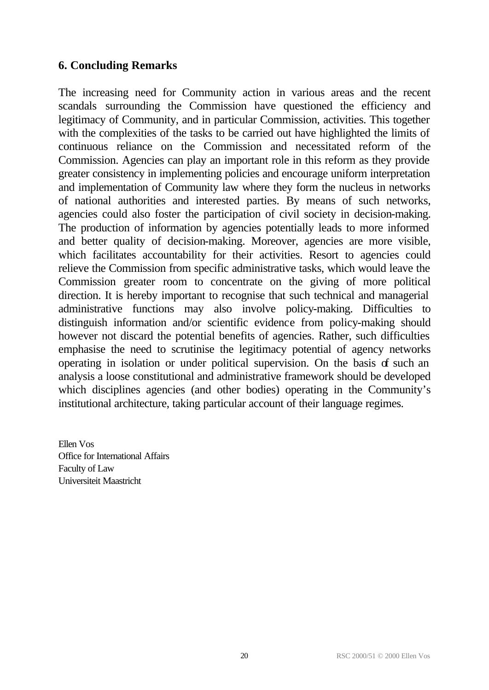## **6. Concluding Remarks**

The increasing need for Community action in various areas and the recent scandals surrounding the Commission have questioned the efficiency and legitimacy of Community, and in particular Commission, activities. This together with the complexities of the tasks to be carried out have highlighted the limits of continuous reliance on the Commission and necessitated reform of the Commission. Agencies can play an important role in this reform as they provide greater consistency in implementing policies and encourage uniform interpretation and implementation of Community law where they form the nucleus in networks of national authorities and interested parties. By means of such networks, agencies could also foster the participation of civil society in decision-making. The production of information by agencies potentially leads to more informed and better quality of decision-making. Moreover, agencies are more visible, which facilitates accountability for their activities. Resort to agencies could relieve the Commission from specific administrative tasks, which would leave the Commission greater room to concentrate on the giving of more political direction. It is hereby important to recognise that such technical and managerial administrative functions may also involve policy-making. Difficulties to distinguish information and/or scientific evidence from policy-making should however not discard the potential benefits of agencies. Rather, such difficulties emphasise the need to scrutinise the legitimacy potential of agency networks operating in isolation or under political supervision. On the basis of such an analysis a loose constitutional and administrative framework should be developed which disciplines agencies (and other bodies) operating in the Community's institutional architecture, taking particular account of their language regimes.

Ellen Vos Office for International Affairs Faculty of Law Universiteit Maastricht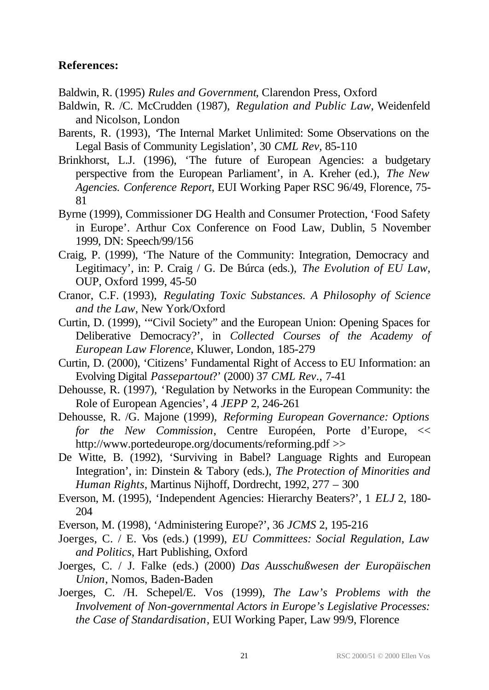### **References:**

Baldwin, R. (1995) *Rules and Government*, Clarendon Press, Oxford

- Baldwin, R. /C. McCrudden (1987), *Regulation and Public Law*, Weidenfeld and Nicolson, London
- Barents, R. (1993), 'The Internal Market Unlimited: Some Observations on the Legal Basis of Community Legislation', 30 *CML Rev*, 85-110
- Brinkhorst, L.J. (1996), 'The future of European Agencies: a budgetary perspective from the European Parliament', in A. Kreher (ed.), *The New Agencies. Conference Report*, EUI Working Paper RSC 96/49, Florence, 75- 81
- Byrne (1999), Commissioner DG Health and Consumer Protection, 'Food Safety in Europe'. Arthur Cox Conference on Food Law, Dublin, 5 November 1999, DN: Speech/99/156
- Craig, P. (1999), 'The Nature of the Community: Integration, Democracy and Legitimacy', in: P. Craig / G. De Búrca (eds.), *The Evolution of EU Law*, OUP, Oxford 1999, 45-50
- Cranor, C.F. (1993), *Regulating Toxic Substances. A Philosophy of Science and the Law*, New York/Oxford
- Curtin, D. (1999), '"Civil Society" and the European Union: Opening Spaces for Deliberative Democracy?', in *Collected Courses of the Academy of European Law Florence*, Kluwer, London, 185-279
- Curtin, D. (2000), 'Citizens' Fundamental Right of Access to EU Information: an Evolving Digital *Passepartout*?' (2000) 37 *CML Rev*., 7-41
- Dehousse, R. (1997), 'Regulation by Networks in the European Community: the Role of European Agencies', 4 *JEPP* 2, 246-261
- Dehousse, R. /G. Majone (1999), *Reforming European Governance: Options for the New Commission*, Centre Européen, Porte d'Europe, << http://www.portedeurope.org/documents/reforming.pdf >>
- De Witte, B. (1992), 'Surviving in Babel? Language Rights and European Integration', in: Dinstein & Tabory (eds.), *The Protection of Minorities and Human Rights*, Martinus Nijhoff, Dordrecht, 1992, 277 – 300
- Everson, M. (1995), 'Independent Agencies: Hierarchy Beaters?', 1 *ELJ* 2, 180- 204

Everson, M. (1998), 'Administering Europe?', 36 *JCMS* 2, 195-216

- Joerges, C. / E. Vos (eds.) (1999), *EU Committees: Social Regulation, Law and Politics*, Hart Publishing, Oxford
- Joerges, C. / J. Falke (eds.) (2000) *Das Ausschußwesen der Europäischen Union*, Nomos, Baden-Baden
- Joerges, C. /H. Schepel/E. Vos (1999), *The Law's Problems with the Involvement of Non-governmental Actors in Europe's Legislative Processes: the Case of Standardisation*, EUI Working Paper, Law 99/9, Florence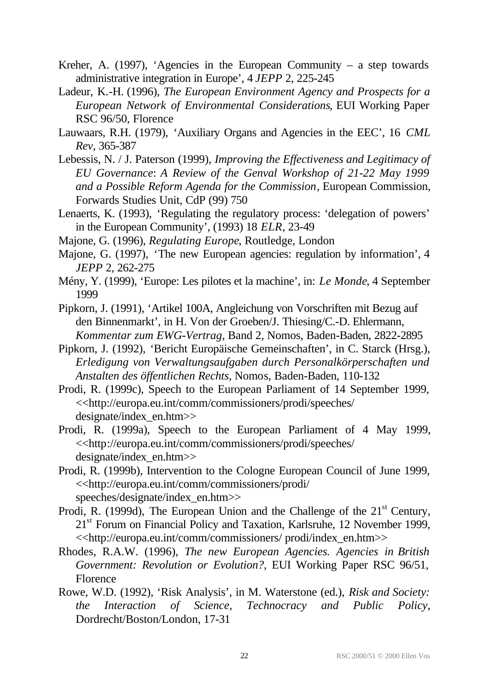- Kreher, A. (1997), 'Agencies in the European Community a step towards administrative integration in Europe', 4 *JEPP* 2, 225-245
- Ladeur, K.-H. (1996), *The European Environment Agency and Prospects for a European Network of Environmental Considerations*, EUI Working Paper RSC 96/50, Florence
- Lauwaars, R.H. (1979), 'Auxiliary Organs and Agencies in the EEC', 16 *CML Rev*, 365-387
- Lebessis, N. / J. Paterson (1999), *Improving the Effectiveness and Legitimacy of EU Governance*: *A Review of the Genval Workshop of 21-22 May 1999 and a Possible Reform Agenda for the Commission*, European Commission, Forwards Studies Unit, CdP (99) 750
- Lenaerts, K. (1993), 'Regulating the regulatory process: 'delegation of powers' in the European Community', (1993) 18 *ELR*, 23-49
- Majone, G. (1996), *Regulating Europe*, Routledge, London
- Majone, G. (1997), 'The new European agencies: regulation by information', 4 *JEPP* 2, 262-275
- Mény, Y. (1999), 'Europe: Les pilotes et la machine', in: *Le Monde*, 4 September 1999
- Pipkorn, J. (1991), 'Artikel 100A, Angleichung von Vorschriften mit Bezug auf den Binnenmarkt', in H. Von der Groeben/J. Thiesing/C.-D. Ehlermann, *Kommentar zum EWG-Vertrag*, Band 2, Nomos, Baden-Baden, 2822-2895
- Pipkorn, J. (1992), 'Bericht Europäische Gemeinschaften', in C. Starck (Hrsg.), *Erledigung von Verwaltungsaufgaben durch Personalkörperschaften und Anstalten des öffentlichen Rechts*, Nomos, Baden-Baden, 110-132
- Prodi, R. (1999c), Speech to the European Parliament of 14 September 1999, <<http://europa.eu.int/comm/commissioners/prodi/speeches/ designate/index\_en.htm>>
- Prodi, R. (1999a), Speech to the European Parliament of 4 May 1999, <<http://europa.eu.int/comm/commissioners/prodi/speeches/ designate/index\_en.htm>>
- Prodi, R. (1999b), Intervention to the Cologne European Council of June 1999, <<http://europa.eu.int/comm/commissioners/prodi/ speeches/designate/index\_en.htm>>
- Prodi, R. (1999d), The European Union and the Challenge of the  $21<sup>st</sup>$  Century, 21<sup>st</sup> Forum on Financial Policy and Taxation, Karlsruhe, 12 November 1999, <<http://europa.eu.int/comm/commissioners/ prodi/index\_en.htm>>
- Rhodes, R.A.W. (1996), *The new European Agencies. Agencies in British Government: Revolution or Evolution?*, EUI Working Paper RSC 96/51, Florence
- Rowe, W.D. (1992), 'Risk Analysis', in M. Waterstone (ed.), *Risk and Society: the Interaction of Science, Technocracy and Public Policy*, Dordrecht/Boston/London, 17-31